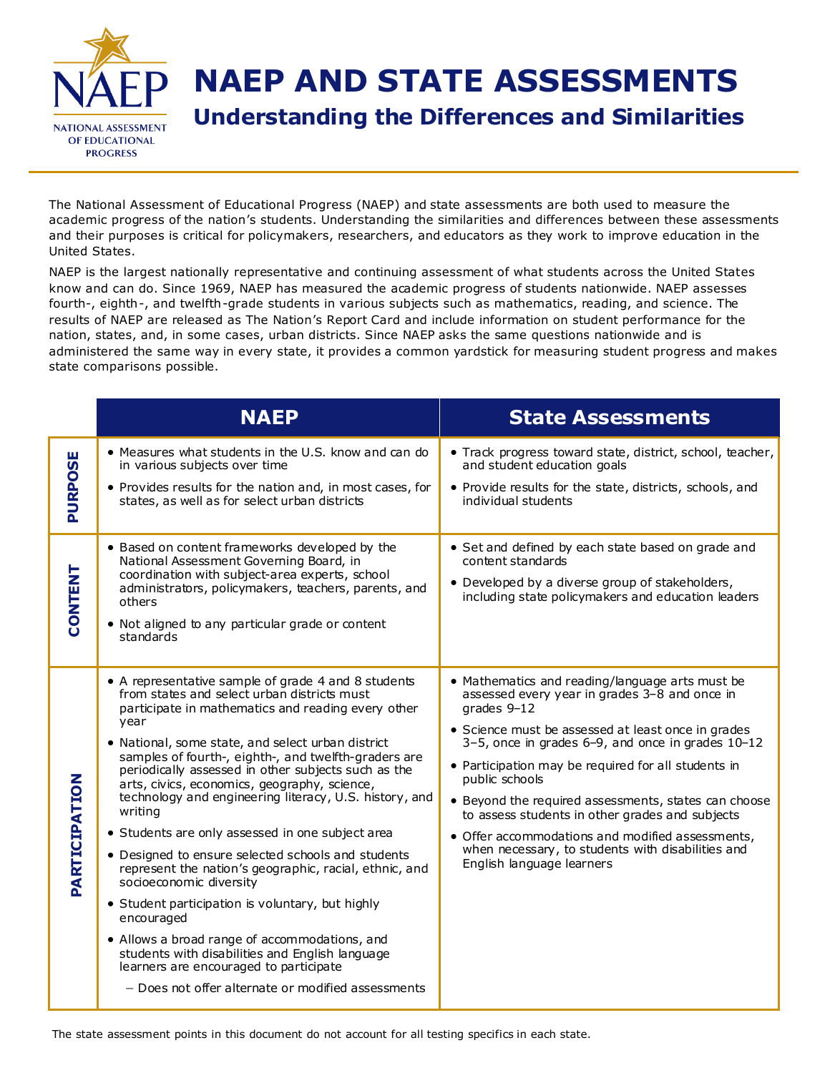

## **NAEP AND STATE ASSESSMENTS**

**Understanding the Differences and Similarities**

The National Assessment of Educational Progress (NAEP) and state assessments are both used to measure the academic progress of the nation's students. Understanding the similarities and differences between these assessments and their purposes is critical for policymakers, researchers, and educators as they work to improve education in the United States.

NAEP is the largest nationally representative and continuing assessment of what students across the United States know and can do. Since 1969, NAEP has measured the academic progress of students nationwide. NAEP assesses fourth-, eighth-, and twelfth-grade students in various subjects such as mathematics, reading, and science. The results of NAEP are released as The Nation's Report Card and include information on student performance for the nation, states, and, in some cases, urban districts. Since NAEP asks the same questions nationwide and is administered the same way in every state, it provides a common yardstick for measuring student progress and makes state comparisons possible.

|                | <b>NAEP</b>                                                                                                                                                                                                                                                                                                                                                                                                                                                                                                                                                                                                                                                                                                                                                                                                                                                                                                                    | <b>State Assessments</b>                                                                                                                                                                                                                                                                                                                                                                                                                                                                                                                                  |
|----------------|--------------------------------------------------------------------------------------------------------------------------------------------------------------------------------------------------------------------------------------------------------------------------------------------------------------------------------------------------------------------------------------------------------------------------------------------------------------------------------------------------------------------------------------------------------------------------------------------------------------------------------------------------------------------------------------------------------------------------------------------------------------------------------------------------------------------------------------------------------------------------------------------------------------------------------|-----------------------------------------------------------------------------------------------------------------------------------------------------------------------------------------------------------------------------------------------------------------------------------------------------------------------------------------------------------------------------------------------------------------------------------------------------------------------------------------------------------------------------------------------------------|
| PURPOSE        | • Measures what students in the U.S. know and can do<br>in various subjects over time<br>• Provides results for the nation and, in most cases, for<br>states, as well as for select urban districts                                                                                                                                                                                                                                                                                                                                                                                                                                                                                                                                                                                                                                                                                                                            | • Track progress toward state, district, school, teacher,<br>and student education goals<br>• Provide results for the state, districts, schools, and<br>individual students                                                                                                                                                                                                                                                                                                                                                                               |
| <b>CONTENT</b> | • Based on content frameworks developed by the<br>National Assessment Governing Board, in<br>coordination with subject-area experts, school<br>administrators, policymakers, teachers, parents, and<br>others<br>• Not aligned to any particular grade or content<br>standards                                                                                                                                                                                                                                                                                                                                                                                                                                                                                                                                                                                                                                                 | • Set and defined by each state based on grade and<br>content standards<br>• Developed by a diverse group of stakeholders,<br>including state policymakers and education leaders                                                                                                                                                                                                                                                                                                                                                                          |
| PARTICIPATION  | • A representative sample of grade 4 and 8 students<br>from states and select urban districts must<br>participate in mathematics and reading every other<br>year<br>• National, some state, and select urban district<br>samples of fourth-, eighth-, and twelfth-graders are<br>periodically assessed in other subjects such as the<br>arts, civics, economics, geography, science,<br>technology and engineering literacy, U.S. history, and<br>writing<br>• Students are only assessed in one subject area<br>• Designed to ensure selected schools and students<br>represent the nation's geographic, racial, ethnic, and<br>socioeconomic diversity<br>• Student participation is voluntary, but highly<br>encouraged<br>• Allows a broad range of accommodations, and<br>students with disabilities and English language<br>learners are encouraged to participate<br>- Does not offer alternate or modified assessments | • Mathematics and reading/language arts must be<br>assessed every year in grades 3-8 and once in<br>grades 9-12<br>• Science must be assessed at least once in grades<br>$3-5$ , once in grades 6-9, and once in grades $10-12$<br>• Participation may be required for all students in<br>public schools<br>• Beyond the required assessments, states can choose<br>to assess students in other grades and subjects<br>• Offer accommodations and modified assessments,<br>when necessary, to students with disabilities and<br>English language learners |

The state assessment points in this document do not account for all testing specifics in each state.